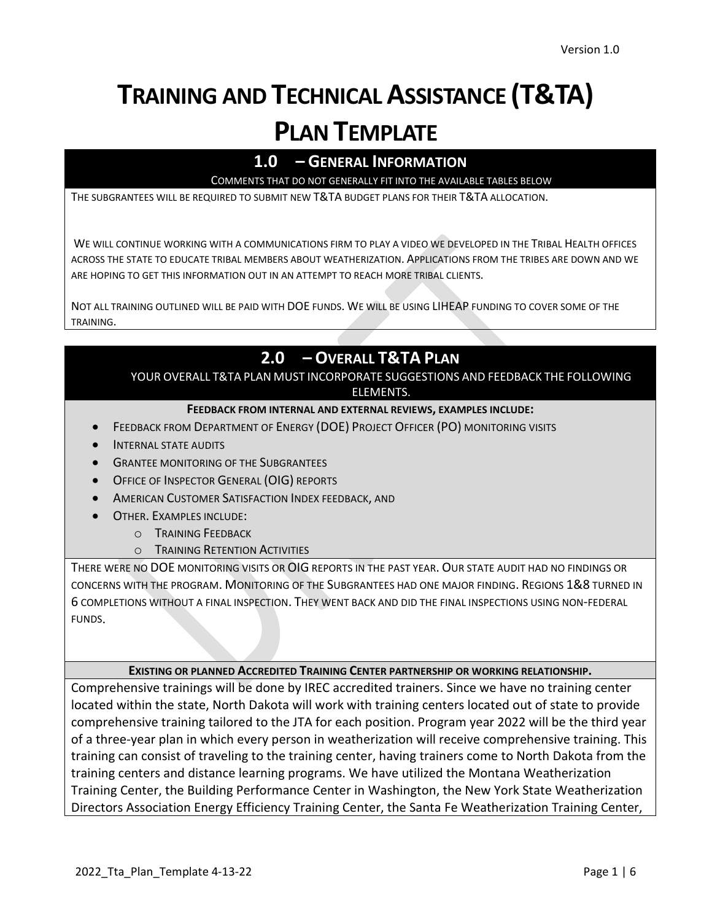# **TRAINING AND TECHNICAL ASSISTANCE (T&TA) PLAN TEMPLATE**

## **1.0 – GENERAL INFORMATION**

COMMENTS THAT DO NOT GENERALLY FIT INTO THE AVAILABLE TABLES BELOW

THE SUBGRANTEES WILL BE REQUIRED TO SUBMIT NEW T&TA BUDGET PLANS FOR THEIR T&TA ALLOCATION.

WE WILL CONTINUE WORKING WITH A COMMUNICATIONS FIRM TO PLAY A VIDEO WE DEVELOPED IN THE TRIBAL HEALTH OFFICES ACROSS THE STATE TO EDUCATE TRIBAL MEMBERS ABOUT WEATHERIZATION. APPLICATIONS FROM THE TRIBES ARE DOWN AND WE ARE HOPING TO GET THIS INFORMATION OUT IN AN ATTEMPT TO REACH MORE TRIBAL CLIENTS.

NOT ALL TRAINING OUTLINED WILL BE PAID WITH DOE FUNDS. WE WILL BE USING LIHEAP FUNDING TO COVER SOME OF THE TRAINING.

# **2.0 – OVERALL T&TA PLAN**

YOUR OVERALL T&TA PLAN MUST INCORPORATE SUGGESTIONS AND FEEDBACK THE FOLLOWING ELEMENTS.

#### **FEEDBACK FROM INTERNAL AND EXTERNAL REVIEWS, EXAMPLES INCLUDE:**

- FEEDBACK FROM DEPARTMENT OF ENERGY (DOE) PROJECT OFFICER (PO) MONITORING VISITS
- INTERNAL STATE AUDITS
- **GRANTEE MONITORING OF THE SUBGRANTEES**
- **OFFICE OF INSPECTOR GENERAL (OIG) REPORTS**
- AMERICAN CUSTOMER SATISFACTION INDEX FEEDBACK, AND
- OTHER. EXAMPLES INCLUDE:
	- o TRAINING FEEDBACK
	- o TRAINING RETENTION ACTIVITIES

THERE WERE NO DOE MONITORING VISITS OR OIG REPORTS IN THE PAST YEAR. OUR STATE AUDIT HAD NO FINDINGS OR CONCERNS WITH THE PROGRAM. MONITORING OF THE SUBGRANTEES HAD ONE MAJOR FINDING. REGIONS 1&8 TURNED IN 6 COMPLETIONS WITHOUT A FINAL INSPECTION. THEY WENT BACK AND DID THE FINAL INSPECTIONS USING NON-FEDERAL FUNDS.

#### **EXISTING OR PLANNED ACCREDITED TRAINING CENTER PARTNERSHIP OR WORKING RELATIONSHIP.**

Comprehensive trainings will be done by IREC accredited trainers. Since we have no training center located within the state, North Dakota will work with training centers located out of state to provide comprehensive training tailored to the JTA for each position. Program year 2022 will be the third year of a three-year plan in which every person in weatherization will receive comprehensive training. This training can consist of traveling to the training center, having trainers come to North Dakota from the training centers and distance learning programs. We have utilized the Montana Weatherization Training Center, the Building Performance Center in Washington, the New York State Weatherization Directors Association Energy Efficiency Training Center, the Santa Fe Weatherization Training Center,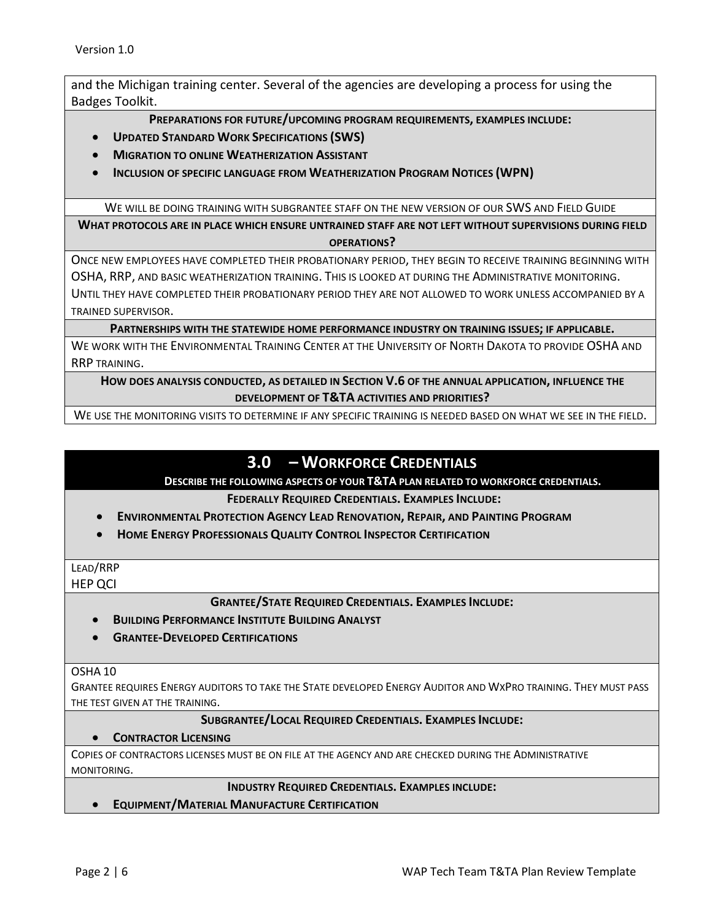and the Michigan training center. Several of the agencies are developing a process for using the Badges Toolkit.

**PREPARATIONS FOR FUTURE/UPCOMING PROGRAM REQUIREMENTS, EXAMPLES INCLUDE:**

- **UPDATED STANDARD WORK SPECIFICATIONS (SWS)**
- **MIGRATION TO ONLINE WEATHERIZATION ASSISTANT**
- **INCLUSION OF SPECIFIC LANGUAGE FROM WEATHERIZATION PROGRAM NOTICES (WPN)**

WE WILL BE DOING TRAINING WITH SUBGRANTEE STAFF ON THE NEW VERSION OF OUR SWS AND FIELD GUIDE

**WHAT PROTOCOLS ARE IN PLACE WHICH ENSURE UNTRAINED STAFF ARE NOT LEFT WITHOUT SUPERVISIONS DURING FIELD OPERATIONS?**

ONCE NEW EMPLOYEES HAVE COMPLETED THEIR PROBATIONARY PERIOD, THEY BEGIN TO RECEIVE TRAINING BEGINNING WITH OSHA, RRP, AND BASIC WEATHERIZATION TRAINING. THIS IS LOOKED AT DURING THE ADMINISTRATIVE MONITORING. UNTIL THEY HAVE COMPLETED THEIR PROBATIONARY PERIOD THEY ARE NOT ALLOWED TO WORK UNLESS ACCOMPANIED BY A TRAINED SUPERVISOR.

**PARTNERSHIPS WITH THE STATEWIDE HOME PERFORMANCE INDUSTRY ON TRAINING ISSUES; IF APPLICABLE.**

WE WORK WITH THE ENVIRONMENTAL TRAINING CENTER AT THE UNIVERSITY OF NORTH DAKOTA TO PROVIDE OSHA AND RRP TRAINING.

**HOW DOES ANALYSIS CONDUCTED, AS DETAILED IN SECTION V.6 OF THE ANNUAL APPLICATION, INFLUENCE THE DEVELOPMENT OF T&TA ACTIVITIES AND PRIORITIES?**

WE USE THE MONITORING VISITS TO DETERMINE IF ANY SPECIFIC TRAINING IS NEEDED BASED ON WHAT WE SEE IN THE FIELD.

## **3.0 – WORKFORCE CREDENTIALS**

#### **DESCRIBE THE FOLLOWING ASPECTS OF YOUR T&TA PLAN RELATED TO WORKFORCE CREDENTIALS.**

**FEDERALLY REQUIRED CREDENTIALS. EXAMPLES INCLUDE:**

- **ENVIRONMENTAL PROTECTION AGENCY LEAD RENOVATION, REPAIR, AND PAINTING PROGRAM**
- **HOME ENERGY PROFESSIONALS QUALITY CONTROL INSPECTOR CERTIFICATION**

#### LEAD/RRP HEP QCI

**GRANTEE/STATE REQUIRED CREDENTIALS. EXAMPLES INCLUDE:**

- **BUILDING PERFORMANCE INSTITUTE BUILDING ANALYST**
- **GRANTEE-DEVELOPED CERTIFICATIONS**

#### OSHA 10

GRANTEE REQUIRES ENERGY AUDITORS TO TAKE THE STATE DEVELOPED ENERGY AUDITOR AND WXPRO TRAINING. THEY MUST PASS THE TEST GIVEN AT THE TRAINING.

#### **SUBGRANTEE/LOCAL REQUIRED CREDENTIALS. EXAMPLES INCLUDE:**

#### • **CONTRACTOR LICENSING**

COPIES OF CONTRACTORS LICENSES MUST BE ON FILE AT THE AGENCY AND ARE CHECKED DURING THE ADMINISTRATIVE MONITORING.

#### **INDUSTRY REQUIRED CREDENTIALS. EXAMPLES INCLUDE:**

• **EQUIPMENT/MATERIAL MANUFACTURE CERTIFICATION**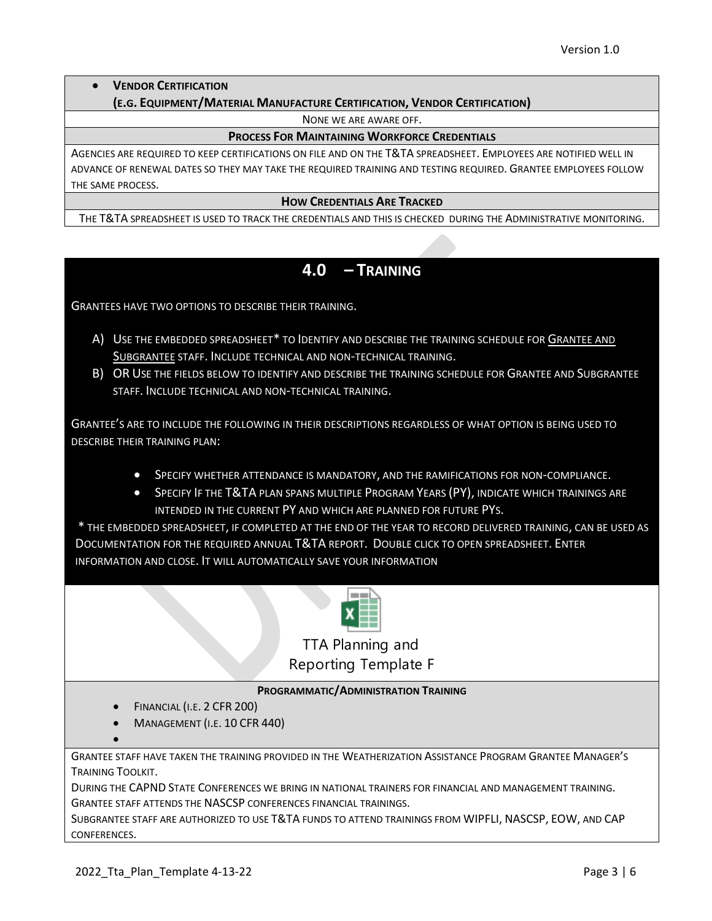## • **VENDOR CERTIFICATION**

#### **(E.G. EQUIPMENT/MATERIAL MANUFACTURE CERTIFICATION, VENDOR CERTIFICATION)**

NONE WE ARE AWARE OFF.

#### **PROCESS FOR MAINTAINING WORKFORCE CREDENTIALS**

AGENCIES ARE REQUIRED TO KEEP CERTIFICATIONS ON FILE AND ON THE T&TA SPREADSHEET. EMPLOYEES ARE NOTIFIED WELL IN ADVANCE OF RENEWAL DATES SO THEY MAY TAKE THE REQUIRED TRAINING AND TESTING REQUIRED. GRANTEE EMPLOYEES FOLLOW THE SAME PROCESS.

#### **HOW CREDENTIALS ARE TRACKED**

THE T&TA SPREADSHEET IS USED TO TRACK THE CREDENTIALS AND THIS IS CHECKED DURING THE ADMINISTRATIVE MONITORING.

## **4.0 – TRAINING**

GRANTEES HAVE TWO OPTIONS TO DESCRIBE THEIR TRAINING.

- A) USE THE EMBEDDED SPREADSHEET\* TO IDENTIFY AND DESCRIBE THE TRAINING SCHEDULE FOR GRANTEE AND SUBGRANTEE STAFF. INCLUDE TECHNICAL AND NON-TECHNICAL TRAINING.
- B) OR USE THE FIELDS BELOW TO IDENTIFY AND DESCRIBE THE TRAINING SCHEDULE FOR GRANTEE AND SUBGRANTEE STAFF. INCLUDE TECHNICAL AND NON-TECHNICAL TRAINING.

GRANTEE'S ARE TO INCLUDE THE FOLLOWING IN THEIR DESCRIPTIONS REGARDLESS OF WHAT OPTION IS BEING USED TO DESCRIBE THEIR TRAINING PLAN:

- SPECIFY WHETHER ATTENDANCE IS MANDATORY, AND THE RAMIFICATIONS FOR NON-COMPLIANCE.
- SPECIFY IF THE T&TA PLAN SPANS MULTIPLE PROGRAM YEARS (PY), INDICATE WHICH TRAININGS ARE INTENDED IN THE CURRENT PY AND WHICH ARE PLANNED FOR FUTURE PYS.

\* THE EMBEDDED SPREADSHEET, IF COMPLETED AT THE END OF THE YEAR TO RECORD DELIVERED TRAINING, CAN BE USED AS DOCUMENTATION FOR THE REQUIRED ANNUAL T&TA REPORT. DOUBLE CLICK TO OPEN SPREADSHEET. ENTER INFORMATION AND CLOSE. IT WILL AUTOMATICALLY SAVE YOUR INFORMATION



TTA Planning and Reporting Template F

#### **PROGRAMMATIC/ADMINISTRATION TRAINING**

- FINANCIAL (I.E. 2 CFR 200)
- MANAGEMENT (I.E. 10 CFR 440)

GRANTEE STAFF HAVE TAKEN THE TRAINING PROVIDED IN THE WEATHERIZATION ASSISTANCE PROGRAM GRANTEE MANAGER'S TRAINING TOOLKIT.

DURING THE CAPND STATE CONFERENCES WE BRING IN NATIONAL TRAINERS FOR FINANCIAL AND MANAGEMENT TRAINING. GRANTEE STAFF ATTENDS THE NASCSP CONFERENCES FINANCIAL TRAININGS.

SUBGRANTEE STAFF ARE AUTHORIZED TO USE T&TA FUNDS TO ATTEND TRAININGS FROM WIPFLI, NASCSP, EOW, AND CAP CONFERENCES.

•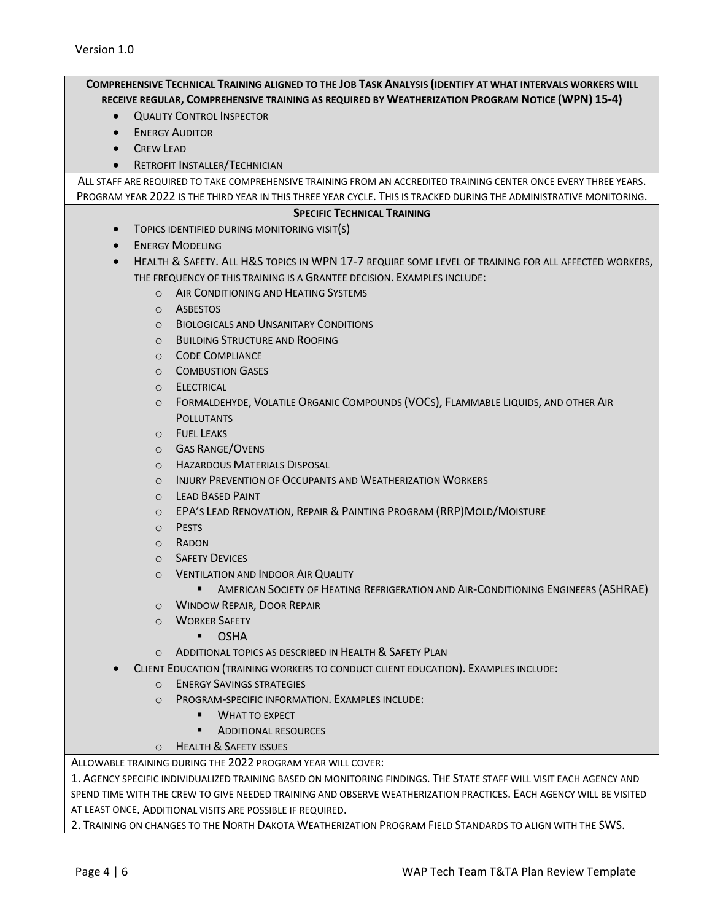| COMPREHENSIVE TECHNICAL TRAINING ALIGNED TO THE JOB TASK ANALYSIS (IDENTIFY AT WHAT INTERVALS WORKERS WILL          |
|---------------------------------------------------------------------------------------------------------------------|
| RECEIVE REGULAR, COMPREHENSIVE TRAINING AS REQUIRED BY WEATHERIZATION PROGRAM NOTICE (WPN) 15-4)                    |
| <b>QUALITY CONTROL INSPECTOR</b><br>$\bullet$                                                                       |
| <b>ENERGY AUDITOR</b><br>$\bullet$                                                                                  |
| <b>CREW LEAD</b><br>$\bullet$                                                                                       |
| <b>RETROFIT INSTALLER/TECHNICIAN</b>                                                                                |
| ALL STAFF ARE REQUIRED TO TAKE COMPREHENSIVE TRAINING FROM AN ACCREDITED TRAINING CENTER ONCE EVERY THREE YEARS.    |
| PROGRAM YEAR 2022 IS THE THIRD YEAR IN THIS THREE YEAR CYCLE. THIS IS TRACKED DURING THE ADMINISTRATIVE MONITORING. |
| <b>SPECIFIC TECHNICAL TRAINING</b>                                                                                  |
| TOPICS IDENTIFIED DURING MONITORING VISIT(S)<br>$\bullet$                                                           |
| <b>ENERGY MODELING</b><br>$\bullet$                                                                                 |
| HEALTH & SAFETY. ALL H&S TOPICS IN WPN 17-7 REQUIRE SOME LEVEL OF TRAINING FOR ALL AFFECTED WORKERS,<br>$\bullet$   |
| THE FREQUENCY OF THIS TRAINING IS A GRANTEE DECISION. EXAMPLES INCLUDE:                                             |
| AIR CONDITIONING AND HEATING SYSTEMS<br>$\Omega$                                                                    |
| ASBESTOS<br>$\circ$                                                                                                 |
| <b>BIOLOGICALS AND UNSANITARY CONDITIONS</b><br>$\circ$                                                             |
| <b>BUILDING STRUCTURE AND ROOFING</b><br>$\circ$                                                                    |
| <b>CODE COMPLIANCE</b><br>$\circ$                                                                                   |
| <b>COMBUSTION GASES</b><br>$\circ$                                                                                  |
| ELECTRICAL<br>$\circ$                                                                                               |
| FORMALDEHYDE, VOLATILE ORGANIC COMPOUNDS (VOCS), FLAMMABLE LIQUIDS, AND OTHER AIR<br>$\circ$                        |
| <b>POLLUTANTS</b><br><b>FUEL LEAKS</b>                                                                              |
| $\circ$<br><b>GAS RANGE/OVENS</b>                                                                                   |
| $\circ$<br><b>HAZARDOUS MATERIALS DISPOSAL</b>                                                                      |
| $\circ$<br><b>INJURY PREVENTION OF OCCUPANTS AND WEATHERIZATION WORKERS</b>                                         |
| $\circ$<br><b>LEAD BASED PAINT</b><br>$\circ$                                                                       |
| EPA'S LEAD RENOVATION, REPAIR & PAINTING PROGRAM (RRP) MOLD/MOISTURE<br>$\circ$                                     |
| <b>PESTS</b><br>$\circ$                                                                                             |
| RADON<br>$\circ$                                                                                                    |
| <b>SAFETY DEVICES</b><br>$\circ$                                                                                    |
| <b>VENTILATION AND INDOOR AIR QUALITY</b><br>$\circ$                                                                |
| AMERICAN SOCIETY OF HEATING REFRIGERATION AND AIR-CONDITIONING ENGINEERS (ASHRAE)<br>$\blacksquare$                 |
| <b>WINDOW REPAIR, DOOR REPAIR</b><br>$\circ$                                                                        |
| <b>WORKER SAFETY</b><br>$\Omega$                                                                                    |
| <b>OSHA</b><br>٠                                                                                                    |
| ADDITIONAL TOPICS AS DESCRIBED IN HEALTH & SAFETY PLAN<br>$\circ$                                                   |
| CLIENT EDUCATION (TRAINING WORKERS TO CONDUCT CLIENT EDUCATION). EXAMPLES INCLUDE:                                  |
| <b>ENERGY SAVINGS STRATEGIES</b><br>$\circ$                                                                         |
| PROGRAM-SPECIFIC INFORMATION. EXAMPLES INCLUDE:<br>$\Omega$                                                         |
| <b>WHAT TO EXPECT</b>                                                                                               |
| <b>ADDITIONAL RESOURCES</b>                                                                                         |
| <b>HEALTH &amp; SAFETY ISSUES</b><br>$\Omega$                                                                       |
| ALLOWABLE TRAINING DURING THE 2022 PROGRAM YEAR WILL COVER:                                                         |
| 1. AGENCY SPECIFIC INDIVIDUALIZED TRAINING BASED ON MONITORING FINDINGS. THE STATE STAFF WILL VISIT EACH AGENCY AND |
| SPEND TIME WITH THE CREW TO GIVE NEEDED TRAINING AND OBSERVE WEATHERIZATION PRACTICES. EACH AGENCY WILL BE VISITED  |
| AT LEAST ONCE. ADDITIONAL VISITS ARE POSSIBLE IF REQUIRED.                                                          |

2. TRAINING ON CHANGES TO THE NORTH DAKOTA WEATHERIZATION PROGRAM FIELD STANDARDS TO ALIGN WITH THE SWS.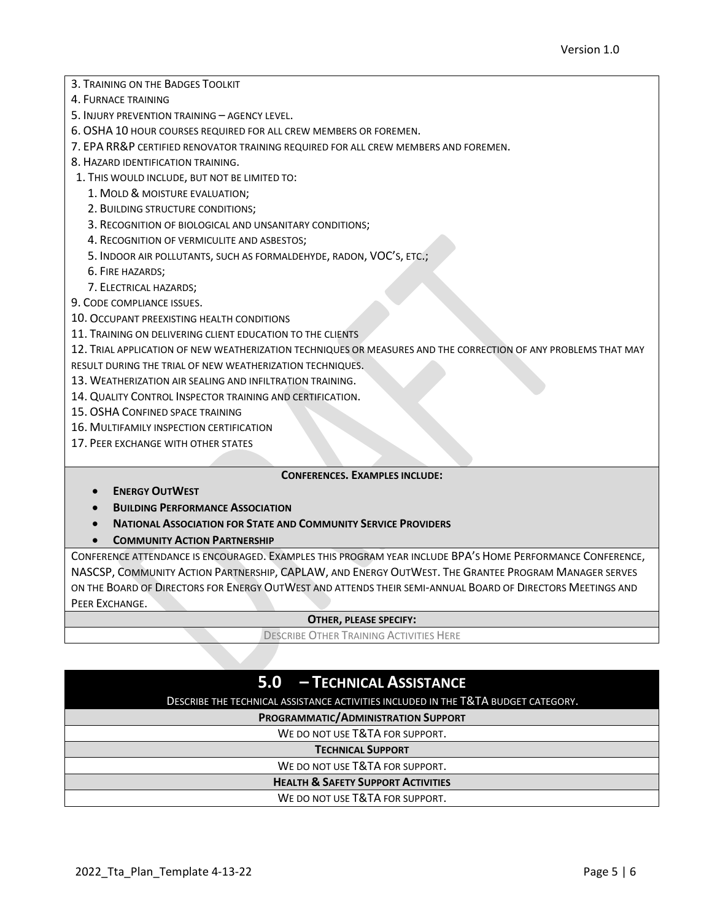- 3. TRAINING ON THE BADGES TOOLKIT
- 4. FURNACE TRAINING
- 5. INJURY PREVENTION TRAINING AGENCY LEVEL.
- 6. OSHA 10 HOUR COURSES REQUIRED FOR ALL CREW MEMBERS OR FOREMEN.
- 7. EPA RR&P CERTIFIED RENOVATOR TRAINING REQUIRED FOR ALL CREW MEMBERS AND FOREMEN.
- 8. HAZARD IDENTIFICATION TRAINING.
- 1. THIS WOULD INCLUDE, BUT NOT BE LIMITED TO:
	- 1. MOLD & MOISTURE EVALUATION;
	- 2. BUILDING STRUCTURE CONDITIONS;
	- 3. RECOGNITION OF BIOLOGICAL AND UNSANITARY CONDITIONS;
	- 4. RECOGNITION OF VERMICULITE AND ASBESTOS;
	- 5. INDOOR AIR POLLUTANTS, SUCH AS FORMALDEHYDE, RADON, VOC'S, ETC.;
	- 6. FIRE HAZARDS;
	- 7. ELECTRICAL HAZARDS;
- 9. CODE COMPLIANCE ISSUES.
- 10. OCCUPANT PREEXISTING HEALTH CONDITIONS
- 11. TRAINING ON DELIVERING CLIENT EDUCATION TO THE CLIENTS
- 12. TRIAL APPLICATION OF NEW WEATHERIZATION TECHNIQUES OR MEASURES AND THE CORRECTION OF ANY PROBLEMS THAT MAY
- RESULT DURING THE TRIAL OF NEW WEATHERIZATION TECHNIQUES.
- 13. WEATHERIZATION AIR SEALING AND INFILTRATION TRAINING.
- 14. QUALITY CONTROL INSPECTOR TRAINING AND CERTIFICATION.
- 15. OSHA CONFINED SPACE TRAINING
- 16. MULTIFAMILY INSPECTION CERTIFICATION
- 17. PEER EXCHANGE WITH OTHER STATES

#### **CONFERENCES. EXAMPLES INCLUDE:**

- **ENERGY OUTWEST**
- **BUILDING PERFORMANCE ASSOCIATION**
- **NATIONAL ASSOCIATION FOR STATE AND COMMUNITY SERVICE PROVIDERS**
- **COMMUNITY ACTION PARTNERSHIP**

CONFERENCE ATTENDANCE IS ENCOURAGED. EXAMPLES THIS PROGRAM YEAR INCLUDE BPA'S HOME PERFORMANCE CONFERENCE, NASCSP, COMMUNITY ACTION PARTNERSHIP, CAPLAW, AND ENERGY OUTWEST. THE GRANTEE PROGRAM MANAGER SERVES ON THE BOARD OF DIRECTORS FOR ENERGY OUTWEST AND ATTENDS THEIR SEMI-ANNUAL BOARD OF DIRECTORS MEETINGS AND PEER EXCHANGE.

#### **OTHER, PLEASE SPECIFY:**

DESCRIBE OTHER TRAINING ACTIVITIES HERE

### **5.0 – TECHNICAL ASSISTANCE**

#### DESCRIBE THE TECHNICAL ASSISTANCE ACTIVITIES INCLUDED IN THE T&TA BUDGET CATEGORY.

**PROGRAMMATIC/ADMINISTRATION SUPPORT**

WE DO NOT USE T&TA FOR SUPPORT.

#### **TECHNICAL SUPPORT**

WE DO NOT USE T&TA FOR SUPPORT.

**HEALTH & SAFETY SUPPORT ACTIVITIES**

WE DO NOT USE T&TA FOR SUPPORT.